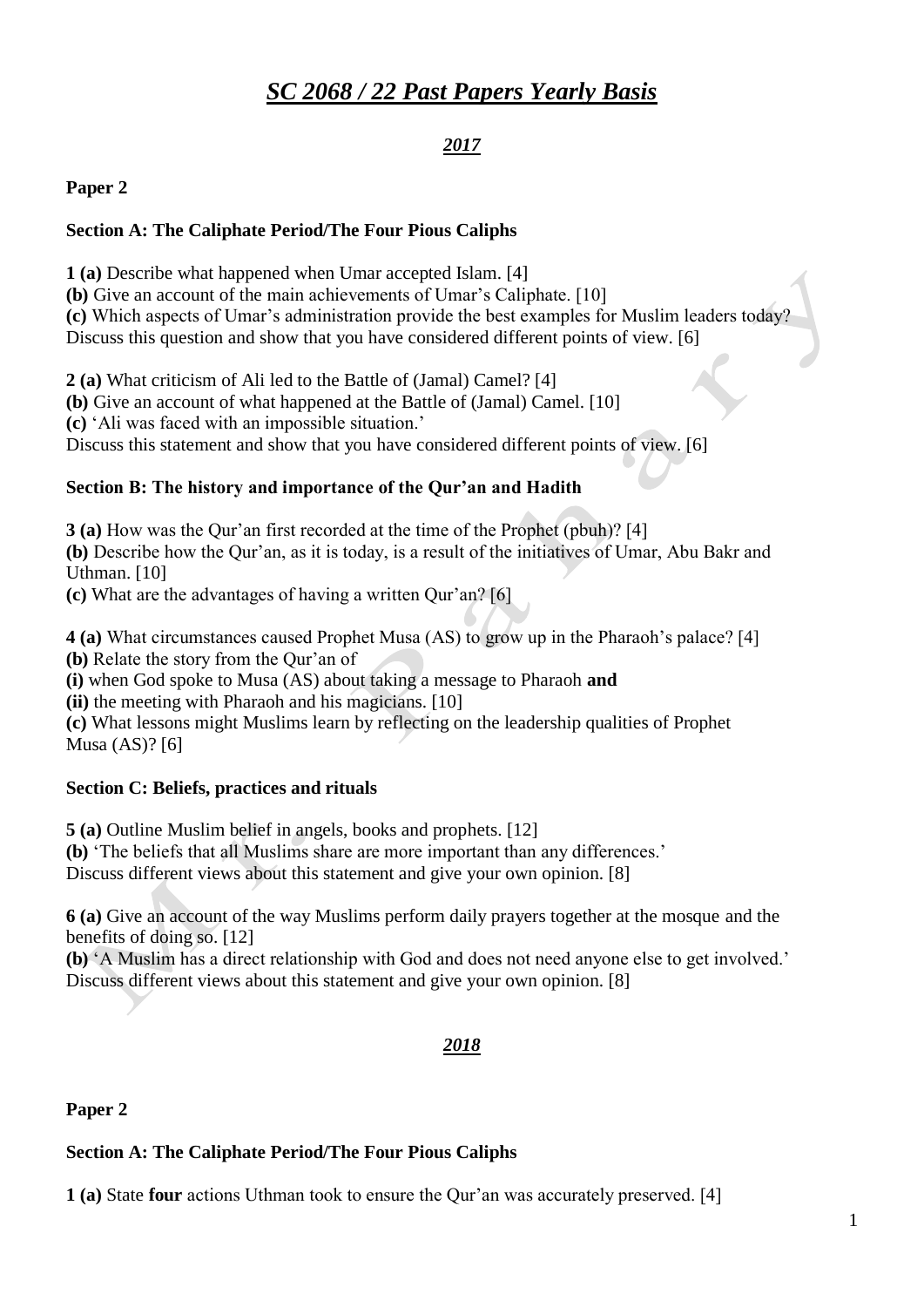# *SC 2068 / 22 Past Papers Yearly Basis*

# *2017*

#### **Paper 2**

## **Section A: The Caliphate Period/The Four Pious Caliphs**

**1 (a)** Describe what happened when Umar accepted Islam. [4] **(b)** Give an account of the main achievements of Umar's Caliphate. [10] **(c)** Which aspects of Umar's administration provide the best examples for Muslim leaders today? Discuss this question and show that you have considered different points of view. [6]

**2 (a)** What criticism of Ali led to the Battle of (Jamal) Camel? [4]

**(b)** Give an account of what happened at the Battle of (Jamal) Camel. [10]

**(c)** 'Ali was faced with an impossible situation.'

Discuss this statement and show that you have considered different points of view. [6]

## **Section B: The history and importance of the Qur'an and Hadith**

**3 (a)** How was the Qur'an first recorded at the time of the Prophet (pbuh)? [4] **(b)** Describe how the Qur'an, as it is today, is a result of the initiatives of Umar, Abu Bakr and Uthman. [10]

**(c)** What are the advantages of having a written Qur'an? [6]

**4 (a)** What circumstances caused Prophet Musa (AS) to grow up in the Pharaoh's palace? [4]

**(b)** Relate the story from the Qur'an of

**(i)** when God spoke to Musa (AS) about taking a message to Pharaoh **and**

**(ii)** the meeting with Pharaoh and his magicians. [10]

**(c)** What lessons might Muslims learn by reflecting on the leadership qualities of Prophet Musa (AS)? [6]

#### **Section C: Beliefs, practices and rituals**

**5 (a)** Outline Muslim belief in angels, books and prophets. [12]

**(b)** 'The beliefs that all Muslims share are more important than any differences.'

Discuss different views about this statement and give your own opinion. [8]

**6 (a)** Give an account of the way Muslims perform daily prayers together at the mosque and the benefits of doing so. [12]

**(b)** 'A Muslim has a direct relationship with God and does not need anyone else to get involved.' Discuss different views about this statement and give your own opinion. [8]

#### *2018*

#### **Paper 2**

# **Section A: The Caliphate Period/The Four Pious Caliphs**

**1 (a)** State **four** actions Uthman took to ensure the Qur'an was accurately preserved. [4]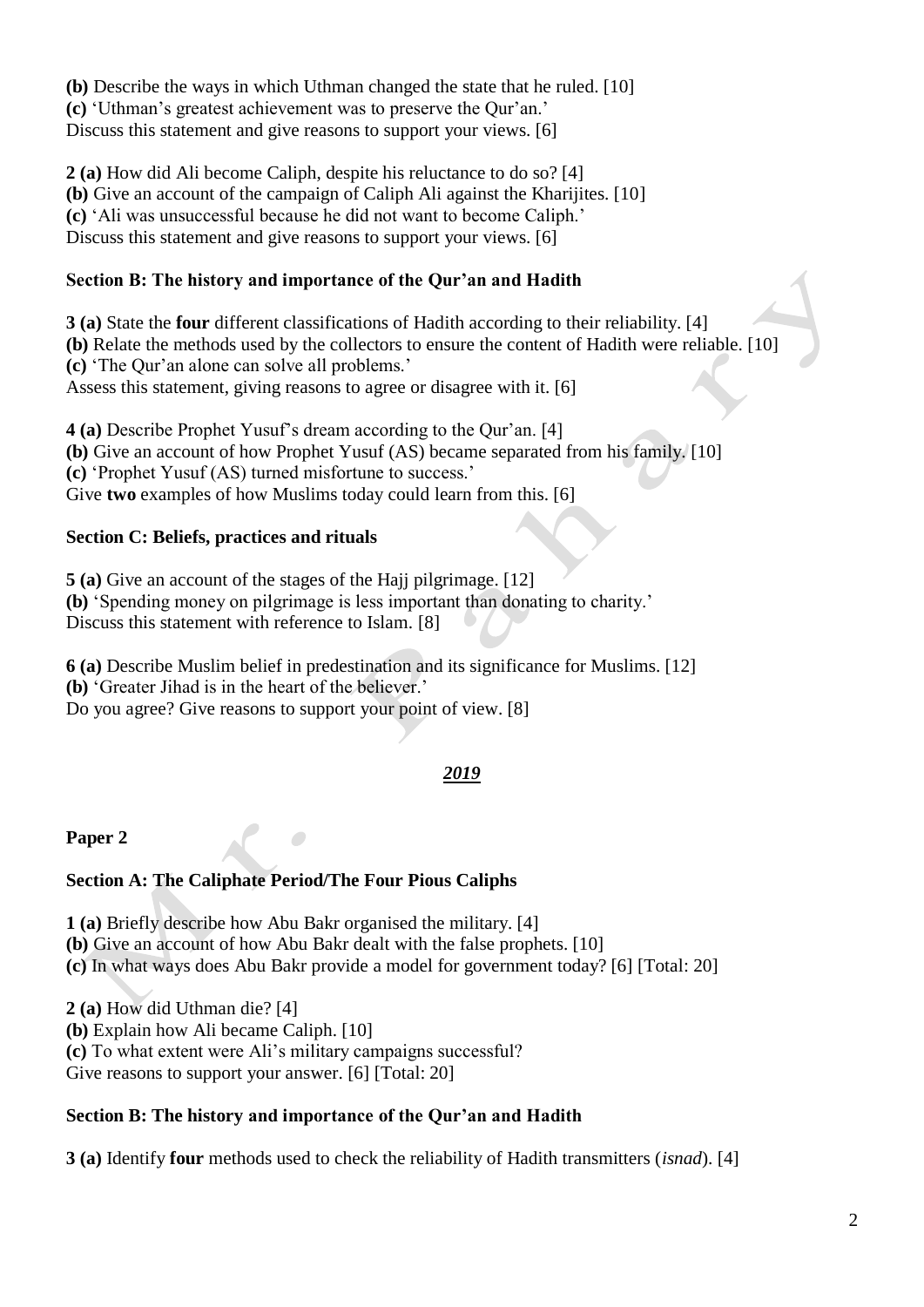**(b)** Describe the ways in which Uthman changed the state that he ruled. [10] **(c)** 'Uthman's greatest achievement was to preserve the Qur'an.' Discuss this statement and give reasons to support your views. [6]

**2 (a)** How did Ali become Caliph, despite his reluctance to do so? [4] **(b)** Give an account of the campaign of Caliph Ali against the Kharijites. [10] **(c)** 'Ali was unsuccessful because he did not want to become Caliph.' Discuss this statement and give reasons to support your views. [6]

## **Section B: The history and importance of the Qur'an and Hadith**

**3 (a)** State the **four** different classifications of Hadith according to their reliability. [4] **(b)** Relate the methods used by the collectors to ensure the content of Hadith were reliable. [10] **(c)** 'The Qur'an alone can solve all problems.' Assess this statement, giving reasons to agree or disagree with it. [6]

**4 (a)** Describe Prophet Yusuf's dream according to the Qur'an. [4] **(b)** Give an account of how Prophet Yusuf (AS) became separated from his family. [10] **(c)** 'Prophet Yusuf (AS) turned misfortune to success.' Give **two** examples of how Muslims today could learn from this. [6]

## **Section C: Beliefs, practices and rituals**

**5 (a)** Give an account of the stages of the Hajj pilgrimage. [12] **(b)** 'Spending money on pilgrimage is less important than donating to charity.' Discuss this statement with reference to Islam. [8]

**6 (a)** Describe Muslim belief in predestination and its significance for Muslims. [12] **(b)** 'Greater Jihad is in the heart of the believer.'

Do you agree? Give reasons to support your point of view. [8]

# *2019*

#### **Paper 2**

# **Section A: The Caliphate Period/The Four Pious Caliphs**

**1 (a)** Briefly describe how Abu Bakr organised the military. [4]

**(b)** Give an account of how Abu Bakr dealt with the false prophets. [10]

**(c)** In what ways does Abu Bakr provide a model for government today? [6] [Total: 20]

**2 (a)** How did Uthman die? [4] **(b)** Explain how Ali became Caliph. [10]

**(c)** To what extent were Ali's military campaigns successful?

Give reasons to support your answer. [6] [Total: 20]

# **Section B: The history and importance of the Qur'an and Hadith**

**3 (a)** Identify **four** methods used to check the reliability of Hadith transmitters (*isnad*). [4]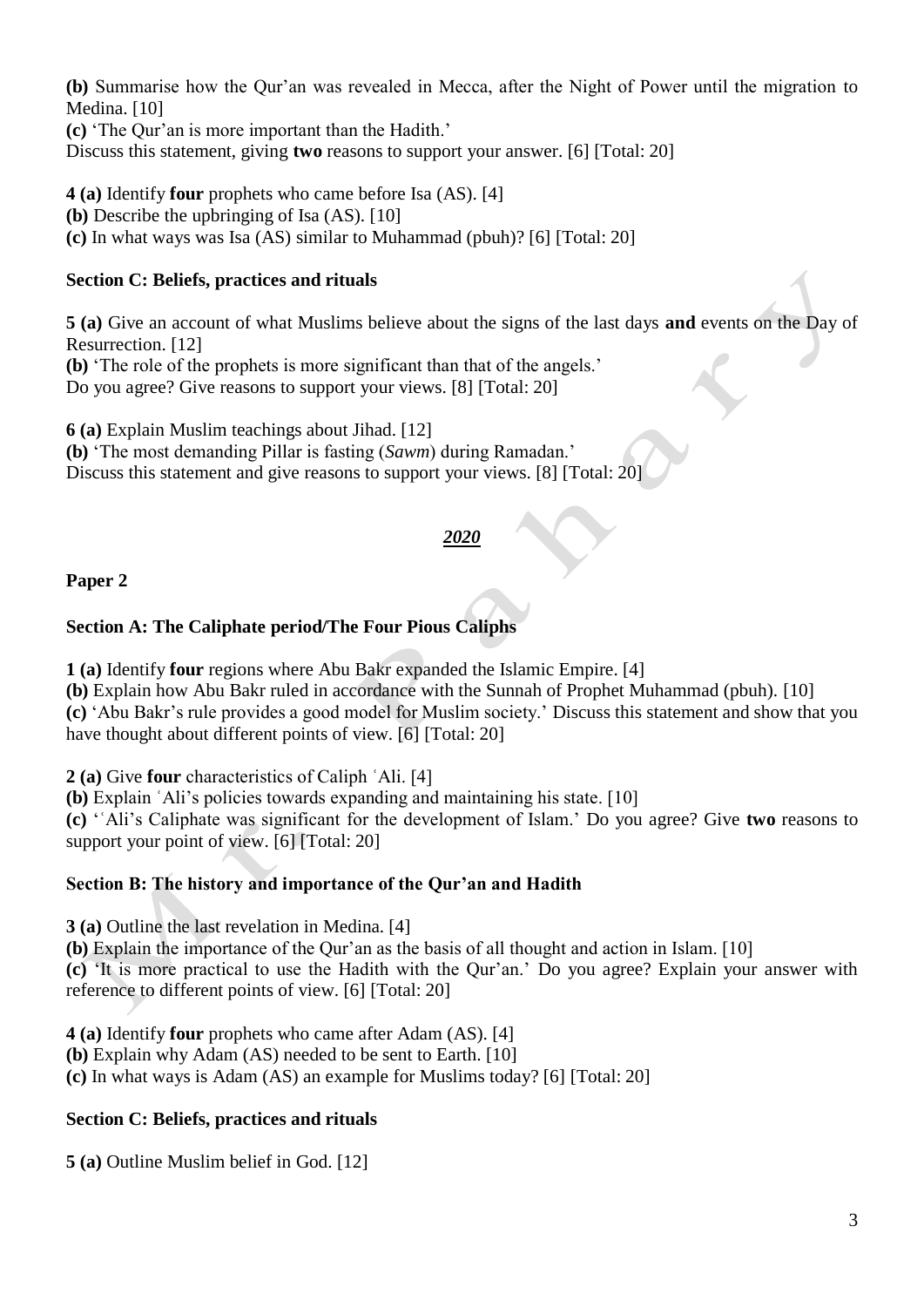**(b)** Summarise how the Qur'an was revealed in Mecca, after the Night of Power until the migration to Medina. [10]

**(c)** 'The Qur'an is more important than the Hadith.'

Discuss this statement, giving **two** reasons to support your answer. [6] [Total: 20]

**4 (a)** Identify **four** prophets who came before Isa (AS). [4] **(b)** Describe the upbringing of Isa (AS). [10] **(c)** In what ways was Isa (AS) similar to Muhammad (pbuh)? [6] [Total: 20]

#### **Section C: Beliefs, practices and rituals**

**5 (a)** Give an account of what Muslims believe about the signs of the last days **and** events on the Day of Resurrection. [12]

**(b)** 'The role of the prophets is more significant than that of the angels.'

Do you agree? Give reasons to support your views. [8] [Total: 20]

**6 (a)** Explain Muslim teachings about Jihad. [12]

**(b)** 'The most demanding Pillar is fasting (*Sawm*) during Ramadan.'

Discuss this statement and give reasons to support your views. [8] [Total: 20]

## *2020*

## **Paper 2**

# **Section A: The Caliphate period/The Four Pious Caliphs**

**1 (a)** Identify **four** regions where Abu Bakr expanded the Islamic Empire. [4]

**(b)** Explain how Abu Bakr ruled in accordance with the Sunnah of Prophet Muhammad (pbuh). [10] **(c)** 'Abu Bakr's rule provides a good model for Muslim society.' Discuss this statement and show that you have thought about different points of view. [6] [Total: 20]

**2 (a)** Give **four** characteristics of Caliph ʿAli. [4]

**(b)** Explain ʿAli's policies towards expanding and maintaining his state. [10]

**(c)** 'ʿAli's Caliphate was significant for the development of Islam.' Do you agree? Give **two** reasons to support your point of view. [6] [Total: 20]

#### **Section B: The history and importance of the Qur'an and Hadith**

**3 (a)** Outline the last revelation in Medina. [4]

**(b)** Explain the importance of the Qur'an as the basis of all thought and action in Islam. [10] **(c)** 'It is more practical to use the Hadith with the Qur'an.' Do you agree? Explain your answer with reference to different points of view. [6] [Total: 20]

**4 (a)** Identify **four** prophets who came after Adam (AS). [4]

**(b)** Explain why Adam (AS) needed to be sent to Earth. [10]

**(c)** In what ways is Adam (AS) an example for Muslims today? [6] [Total: 20]

# **Section C: Beliefs, practices and rituals**

**5 (a)** Outline Muslim belief in God. [12]